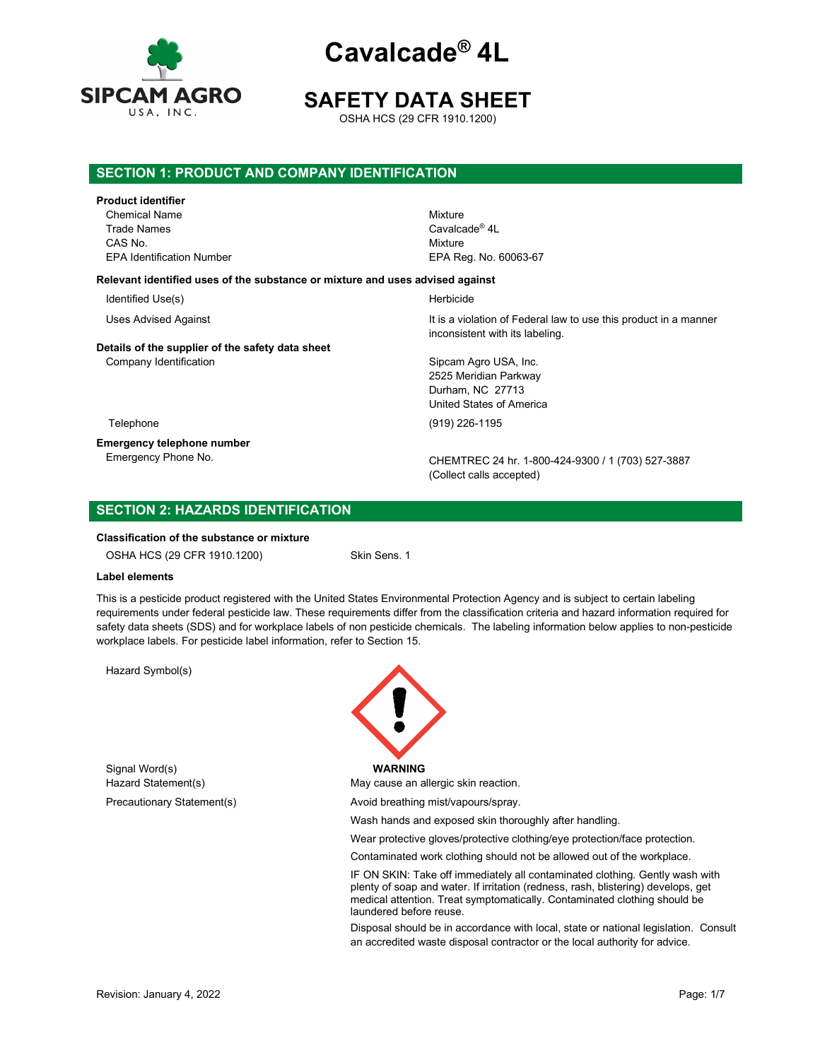

# **SAFETY DATA SHEET**

OSHA HCS (29 CFR 1910.1200)

# **SECTION 1: PRODUCT AND COMPANY IDENTIFICATION**

## **Product identifier**

Chemical Name Mixture Trade Names **Cavalcade®** 4L CAS No. **Mixture** 

# EPA Identification Number EPA Reg. No. 60063-67 **Relevant identified uses of the substance or mixture and uses advised against**

Identified Use(s) and the extent of the extent of the Herbicide Herbicide

# **Details of the supplier of the safety data sheet**

Uses Advised Against **It is a violation of Federal law to use this product in a manner** inconsistent with its labeling.

Company Identification Sipcam Agro USA, Inc. 2525 Meridian Parkway Durham, NC 27713 United States of America

Telephone (919) 226-1195

**Emergency telephone number**

CHEMTREC 24 hr. 1-800-424-9300 / 1 (703) 527-3887 (Collect calls accepted)

# **SECTION 2: HAZARDS IDENTIFICATION**

## **Classification of the substance or mixture**

OSHA HCS (29 CFR 1910.1200) Skin Sens. 1

## **Label elements**

This is a pesticide product registered with the United States Environmental Protection Agency and is subject to certain labeling requirements under federal pesticide law. These requirements differ from the classification criteria and hazard information required for safety data sheets (SDS) and for workplace labels of non pesticide chemicals. The labeling information below applies to non-pesticide workplace labels. For pesticide label information, refer to Section 15.

Hazard Symbol(s)

Signal Word(s) **WARNING**



Hazard Statement(s) May cause an allergic skin reaction.

Precautionary Statement(s) and Avoid breathing mist/vapours/spray.

Wash hands and exposed skin thoroughly after handling.

Wear protective gloves/protective clothing/eye protection/face protection.

Contaminated work clothing should not be allowed out of the workplace.

IF ON SKIN: Take off immediately all contaminated clothing. Gently wash with plenty of soap and water. If irritation (redness, rash, blistering) develops, get medical attention. Treat symptomatically. Contaminated clothing should be laundered before reuse.

Disposal should be in accordance with local, state or national legislation. Consult an accredited waste disposal contractor or the local authority for advice.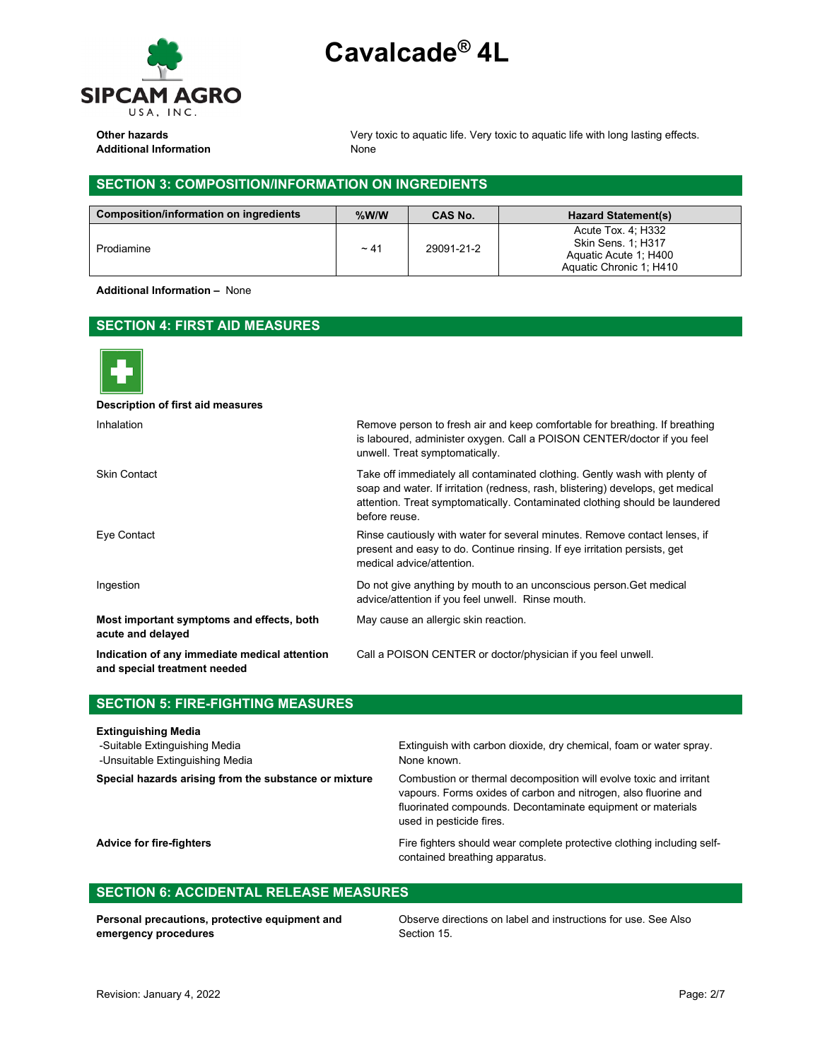

Additional Information **None** None

**Other hazards** very toxic to aquatic life. Very toxic to aquatic life with long lasting effects.

# **SECTION 3: COMPOSITION/INFORMATION ON INGREDIENTS**

| Composition/information on ingredients | $%$ W/W   | <b>CAS No.</b> | <b>Hazard Statement(s)</b>                                                                          |
|----------------------------------------|-----------|----------------|-----------------------------------------------------------------------------------------------------|
| Prodiamine                             | $~1 - 41$ | 29091-21-2     | Acute Tox. 4: H332<br><b>Skin Sens. 1: H317</b><br>Aquatic Acute 1; H400<br>Aquatic Chronic 1: H410 |

**Additional Information –** None

# **SECTION 4: FIRST AID MEASURES**



| Description of first aid measures                                             |                                                                                                                                                                                                                                                               |
|-------------------------------------------------------------------------------|---------------------------------------------------------------------------------------------------------------------------------------------------------------------------------------------------------------------------------------------------------------|
| Inhalation                                                                    | Remove person to fresh air and keep comfortable for breathing. If breathing<br>is laboured, administer oxygen. Call a POISON CENTER/doctor if you feel<br>unwell. Treat symptomatically.                                                                      |
| <b>Skin Contact</b>                                                           | Take off immediately all contaminated clothing. Gently wash with plenty of<br>soap and water. If irritation (redness, rash, blistering) develops, get medical<br>attention. Treat symptomatically. Contaminated clothing should be laundered<br>before reuse. |
| Eye Contact                                                                   | Rinse cautiously with water for several minutes. Remove contact lenses, if<br>present and easy to do. Continue rinsing. If eye irritation persists, get<br>medical advice/attention.                                                                          |
| Ingestion                                                                     | Do not give anything by mouth to an unconscious person. Get medical<br>advice/attention if you feel unwell. Rinse mouth.                                                                                                                                      |
| Most important symptoms and effects, both<br>acute and delayed                | May cause an allergic skin reaction.                                                                                                                                                                                                                          |
| Indication of any immediate medical attention<br>and special treatment needed | Call a POISON CENTER or doctor/physician if you feel unwell.                                                                                                                                                                                                  |

# **SECTION 5: FIRE-FIGHTING MEASURES**

## **Extinguishing Media**

-Unsuitable Extinguishing Media None known.

-Suitable Extinguishing Media Extinguish with carbon dioxide, dry chemical, foam or water spray.

**Special hazards arising from the substance or mixture** Combustion or thermal decomposition will evolve toxic and irritant vapours. Forms oxides of carbon and nitrogen, also fluorine and fluorinated compounds. Decontaminate equipment or materials used in pesticide fires.

Advice for fire-fighters **Fire-fighters** Fire fighters should wear complete protective clothing including selfcontained breathing apparatus.

# **SECTION 6: ACCIDENTAL RELEASE MEASURES**

**Personal precautions, protective equipment and emergency procedures**

Observe directions on label and instructions for use. See Also Section 15.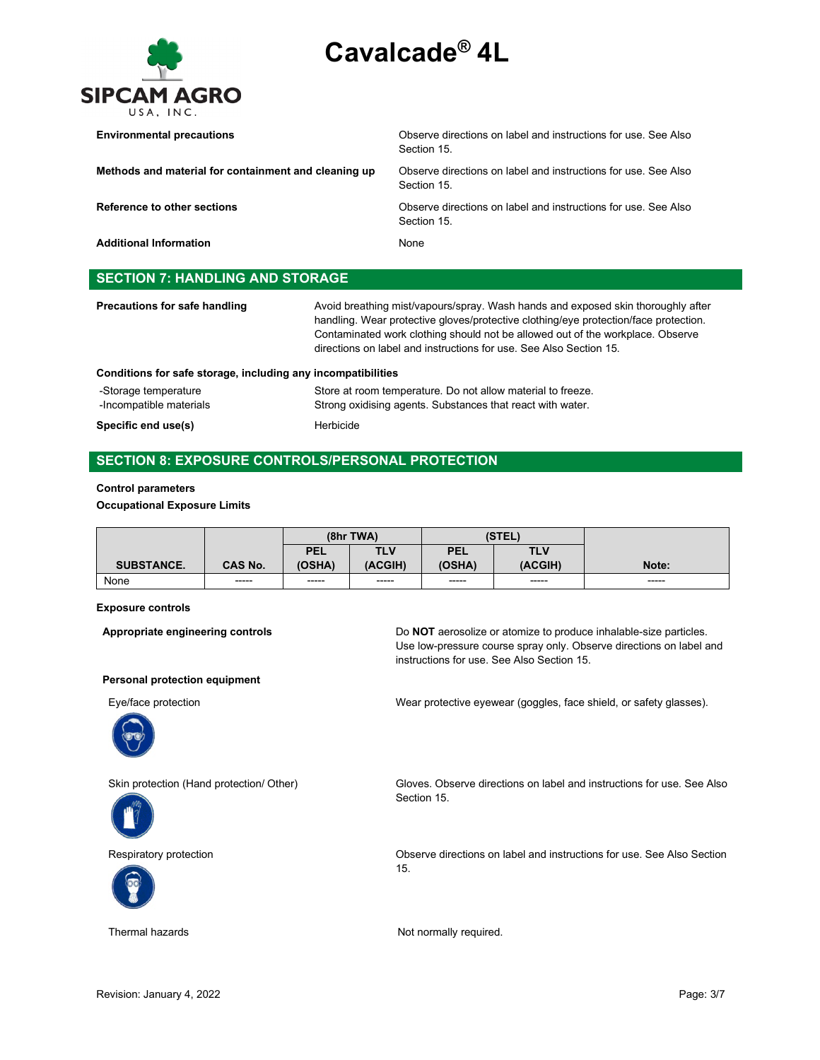

| <b>Environmental precautions</b>                     | Observe directions on label and instructions for use. See Also<br>Section 15 |
|------------------------------------------------------|------------------------------------------------------------------------------|
| Methods and material for containment and cleaning up | Observe directions on label and instructions for use. See Also<br>Section 15 |
| Reference to other sections                          | Observe directions on label and instructions for use. See Also<br>Section 15 |
| <b>Additional Information</b>                        | <b>None</b>                                                                  |
| <b>SECTION 7: HANDLING AND STORAGE</b>               |                                                                              |

| Precautions for safe handling<br>Conditions for safe storage, including any incompatibilities | Avoid breathing mist/vapours/spray. Wash hands and exposed skin thoroughly after<br>handling. Wear protective gloves/protective clothing/eye protection/face protection.<br>Contaminated work clothing should not be allowed out of the workplace. Observe<br>directions on label and instructions for use. See Also Section 15. |
|-----------------------------------------------------------------------------------------------|----------------------------------------------------------------------------------------------------------------------------------------------------------------------------------------------------------------------------------------------------------------------------------------------------------------------------------|
| -Storage temperature<br>-Incompatible materials                                               | Store at room temperature. Do not allow material to freeze.<br>Strong oxidising agents. Substances that react with water.                                                                                                                                                                                                        |
| Specific end use(s)                                                                           | Herbicide                                                                                                                                                                                                                                                                                                                        |

# **SECTION 8: EXPOSURE CONTROLS/PERSONAL PROTECTION**

## **Control parameters**

**Occupational Exposure Limits**

|                   |                | (8hr TWA)  |            | (STEL)     |             |             |
|-------------------|----------------|------------|------------|------------|-------------|-------------|
|                   |                | <b>PEL</b> | <b>TLV</b> | <b>PEL</b> | TLV         |             |
| <b>SUBSTANCE.</b> | <b>CAS No.</b> | (OSHA)     | (ACGIH)    | (OSHA)     | (ACGIH)     | Note:       |
| None              | -----          | -----      | ------     | ------     | $- - - - -$ | $- - - - -$ |

## **Exposure controls**

**Appropriate engineering controls** Do **NOT** aerosolize or atomize to produce inhalable-size particles. Use low-pressure course spray only. Observe directions on label and instructions for use. See Also Section 15.

## **Personal protection equipment**







Eye/face protection Wear protective eyewear (goggles, face shield, or safety glasses).

Skin protection (Hand protection/ Other) Gloves. Observe directions on label and instructions for use. See Also Section 15.

Respiratory protection Observe directions on label and instructions for use. See Also Section 15.

Thermal hazards **Not normally required.** Not normally required.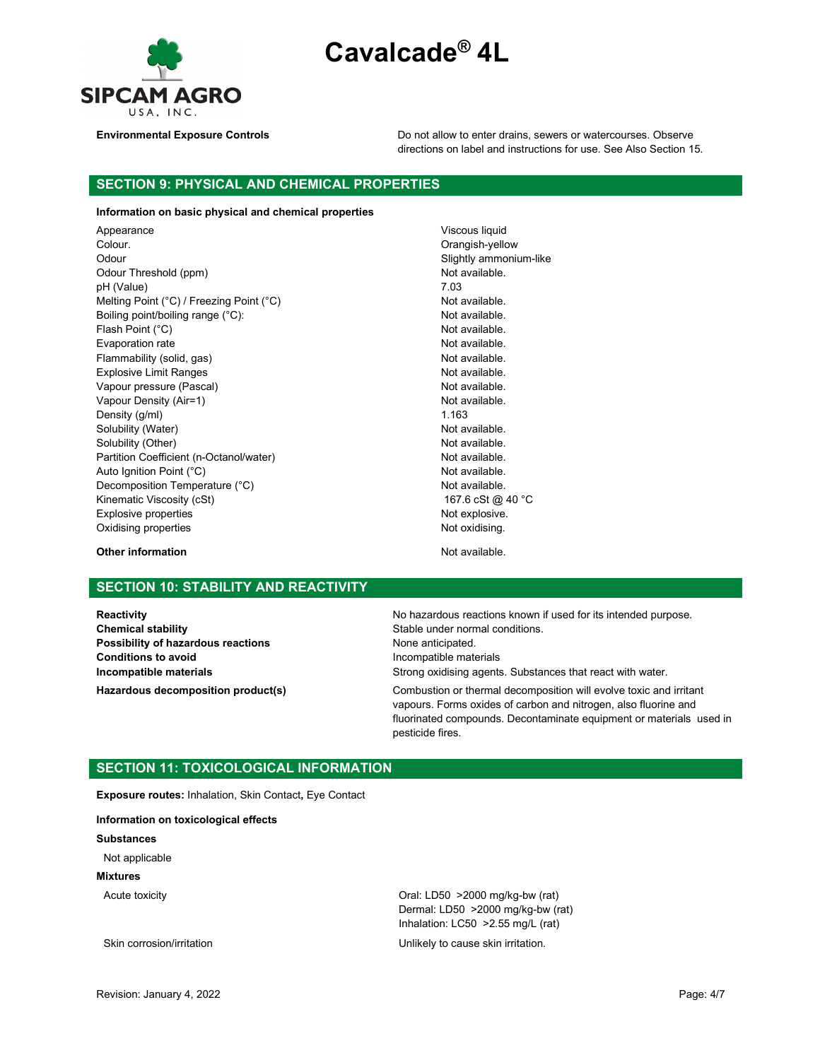**Cavalcade® 4L**



**Environmental Exposure Controls Do not allow to enter drains, sewers or watercourses. Observe** directions on label and instructions for use. See Also Section 15.

# **SECTION 9: PHYSICAL AND CHEMICAL PROPERTIES**

## **Information on basic physical and chemical properties**

Appearance Viscous liquid Colour. Colour. Odour **Slightly ammonium-like** Odour Threshold (ppm) Not available. pH (Value) 7.03<br>Melting Point (°C) / Freezing Point (°C) 7.03 Melting Point (°C) / Freezing Point (°C) Boiling point/boiling range (°C): Not available. Flash Point (°C) and the control of the control of the Not available. Evaporation rate **Not available.** Not available. Flammability (solid, gas) Not available. Explosive Limit Ranges Not available. Vapour pressure (Pascal) Not available. Vapour Density (Air=1) Not available. Density  $(g/m)$  1.163 Solubility (Water) Not available. Solubility (Other) Not available. Partition Coefficient (n-Octanol/water) Not available. Auto Ignition Point (°C) and the control of the control of the Not available. Decomposition Temperature (°C) Not available. Kinematic Viscosity (cSt) 167.6 cSt @ 40 °C Explosive properties **Not explosive.** Not explosive. Oxidising properties **Not oxidising.** Not oxidising.

**Other information Contract Contract Contract Contract Contract Contract Contract Contract Contract Contract Contract Contract Contract Contract Contract Contract Contract Contract Contract Contract Contract Contract Con** 

# **SECTION 10: STABILITY AND REACTIVITY**

**Chemical stability** Chemical stability Stable under normal conditions. **Possibility of hazardous reactions** None anticipated. **Conditions to avoid Incompatible materials** 

**Reactivity Reactivity Reactivity Reactivity Reactivity Reactivity Reactivity Reactivity Reactivity Reactivity Reactivity Reactivity Reactivity Reactivity Reactivity Reactivity Reactivity Incompatible materials Incompatible materials Strong oxidising agents.** Substances that react with water. **Hazardous decomposition product(s)** Combustion or thermal decomposition will evolve toxic and irritant vapours. Forms oxides of carbon and nitrogen, also fluorine and fluorinated compounds. Decontaminate equipment or materials used in

# **SECTION 11: TOXICOLOGICAL INFORMATION**

**Exposure routes:** Inhalation, Skin Contact**,** Eye Contact

**Information on toxicological effects**

**Substances**

Not applicable

**Mixtures**

Acute toxicity Oral: LD50 >2000 mg/kg-bw (rat) Dermal: LD50 >2000 mg/kg-bw (rat) Inhalation: LC50 >2.55 mg/L (rat)

Skin corrosion/irritation example and unlikely to cause skin irritation.

pesticide fires.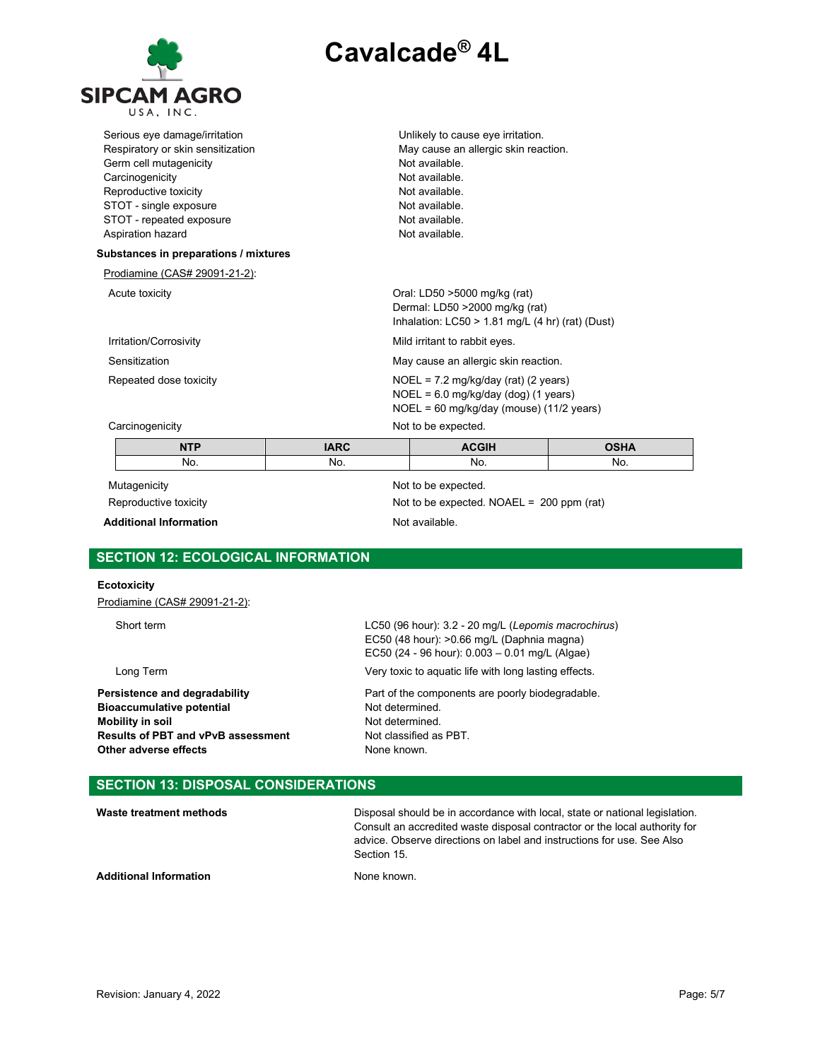

| Unlikely to cause eye irritation.                     |  |  |
|-------------------------------------------------------|--|--|
| May cause an allergic skin reaction.<br>Not available |  |  |
| Not available.                                        |  |  |
| Not available.                                        |  |  |
| Not available.                                        |  |  |
| Not available.                                        |  |  |
| Not available.                                        |  |  |
|                                                       |  |  |
|                                                       |  |  |
|                                                       |  |  |
| Oral: LD50 >5000 mg/kg (rat)                          |  |  |
| Dermal: LD50 >2000 mg/kg (rat)                        |  |  |
| Inhalation: LC50 > 1.81 mg/L (4 hr) (rat) (Dust)      |  |  |
| Mild irritant to rabbit eyes.                         |  |  |
| May cause an allergic skin reaction.                  |  |  |
| $NOEL = 7.2 mg/kg/day (rat) (2 years)$                |  |  |
| $NOEL = 6.0$ mg/kg/day (dog) (1 years)                |  |  |
| NOEL = 60 mg/kg/day (mouse) (11/2 years)              |  |  |
| Not to be expected.                                   |  |  |
| <b>OSHA</b><br><b>ACGIH</b>                           |  |  |
| No.<br>No.                                            |  |  |
| Not to be expected.                                   |  |  |
| Not to be expected. NOAEL = $200$ ppm (rat)           |  |  |
|                                                       |  |  |

Additional Information **Not available**.

# **SECTION 12: ECOLOGICAL INFORMATION**

## **Ecotoxicity**

Prodiamine (CAS# 29091-21-2):

Short term LC50 (96 hour): 3.2 - 20 mg/L (*Lepomis macrochirus*)

**Bioaccumulative potential Not determined.**<br> **Mobility in soil Mobility in soil Mobility in soil**<br> **Results of PBT and vPvB assessment** Not classified as PBT. **Results of PBT and vPvB assessment** Not classified **Other adverse effects assessment Results Other adverse effects** 

EC50 (48 hour): >0.66 mg/L (Daphnia magna) EC50 (24 - 96 hour): 0.003 – 0.01 mg/L (Algae) Long Term Very toxic to aquatic life with long lasting effects. **Persistence and degradability Part of the components are poorly biodegradable.**<br> **Bioaccumulative potential Part of the components are poorly biodegradable.** 

# **SECTION 13: DISPOSAL CONSIDERATIONS**

| Waste treatment methods       | Disposal should be in accordance with local, state or national legislation.<br>Consult an accredited waste disposal contractor or the local authority for<br>advice. Observe directions on label and instructions for use. See Also<br>Section 15. |
|-------------------------------|----------------------------------------------------------------------------------------------------------------------------------------------------------------------------------------------------------------------------------------------------|
| <b>Additional Information</b> | None known.                                                                                                                                                                                                                                        |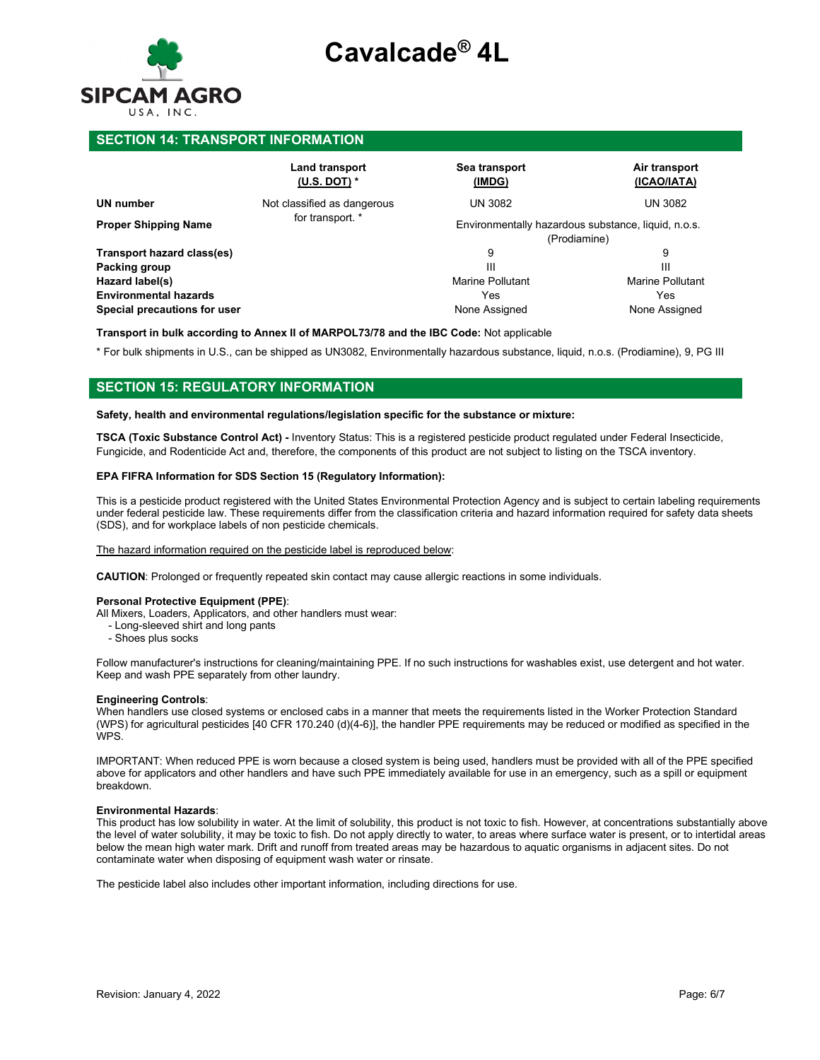

## **SECTION 14: TRANSPORT INFORMATION**

|                              | Land transport<br>(U.S. DOT) $*$ | Sea transport<br>(IMDG)                                             | Air transport<br>(ICAO/IATA) |  |  |
|------------------------------|----------------------------------|---------------------------------------------------------------------|------------------------------|--|--|
| <b>UN number</b>             | Not classified as dangerous      | <b>UN 3082</b>                                                      | <b>UN 3082</b>               |  |  |
| <b>Proper Shipping Name</b>  | for transport. *                 | Environmentally hazardous substance, liquid, n.o.s.<br>(Prodiamine) |                              |  |  |
|                              |                                  |                                                                     |                              |  |  |
| Transport hazard class(es)   |                                  | 9                                                                   | 9                            |  |  |
| Packing group                |                                  | Ш                                                                   | Ш                            |  |  |
| Hazard label(s)              |                                  | Marine Pollutant                                                    | <b>Marine Pollutant</b>      |  |  |
| <b>Environmental hazards</b> |                                  | Yes                                                                 | Yes                          |  |  |
| Special precautions for user |                                  | None Assigned                                                       | None Assigned                |  |  |

**Transport in bulk according to Annex II of MARPOL73/78 and the IBC Code:** Not applicable

\* For bulk shipments in U.S., can be shipped as UN3082, Environmentally hazardous substance, liquid, n.o.s. (Prodiamine), 9, PG III

## **SECTION 15: REGULATORY INFORMATION**

### **Safety, health and environmental regulations/legislation specific for the substance or mixture:**

**TSCA (Toxic Substance Control Act) -** Inventory Status: This is a registered pesticide product regulated under Federal Insecticide, Fungicide, and Rodenticide Act and, therefore, the components of this product are not subject to listing on the TSCA inventory.

## **EPA FIFRA Information for SDS Section 15 (Regulatory Information):**

This is a pesticide product registered with the United States Environmental Protection Agency and is subject to certain labeling requirements under federal pesticide law. These requirements differ from the classification criteria and hazard information required for safety data sheets (SDS), and for workplace labels of non pesticide chemicals.

### The hazard information required on the pesticide label is reproduced below:

**CAUTION**: Prolonged or frequently repeated skin contact may cause allergic reactions in some individuals.

#### **Personal Protective Equipment (PPE)**:

- All Mixers, Loaders, Applicators, and other handlers must wear:
	- Long-sleeved shirt and long pants
	- Shoes plus socks

Follow manufacturer's instructions for cleaning/maintaining PPE. If no such instructions for washables exist, use detergent and hot water. Keep and wash PPE separately from other laundry.

## **Engineering Controls**:

When handlers use closed systems or enclosed cabs in a manner that meets the requirements listed in the Worker Protection Standard (WPS) for agricultural pesticides [40 CFR 170.240 (d)(4-6)], the handler PPE requirements may be reduced or modified as specified in the WPS.

IMPORTANT: When reduced PPE is worn because a closed system is being used, handlers must be provided with all of the PPE specified above for applicators and other handlers and have such PPE immediately available for use in an emergency, such as a spill or equipment breakdown.

## **Environmental Hazards**:

This product has low solubility in water. At the limit of solubility, this product is not toxic to fish. However, at concentrations substantially above the level of water solubility, it may be toxic to fish. Do not apply directly to water, to areas where surface water is present, or to intertidal areas below the mean high water mark. Drift and runoff from treated areas may be hazardous to aquatic organisms in adjacent sites. Do not contaminate water when disposing of equipment wash water or rinsate.

The pesticide label also includes other important information, including directions for use.